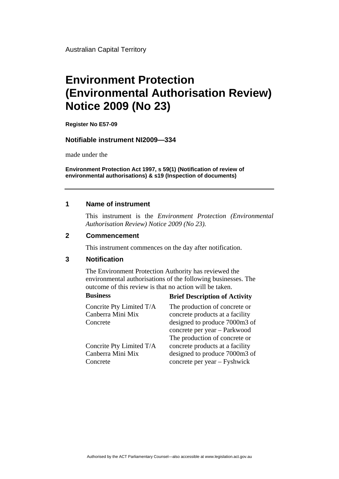Australian Capital Territory

# **Environment Protection (Environmental Authorisation Review) Notice 2009 (No 23)**

**Register No E57-09**

#### **Notifiable instrument NI2009—334**

made under the

**Environment Protection Act 1997, s 59(1) (Notification of review of environmental authorisations) & s19 (Inspection of documents)**

### **1 Name of instrument**

This instrument is the *Environment Protection (Environmental Authorisation Review) Notice 2009 (No 23).* 

#### **2 Commencement**

This instrument commences on the day after notification.

## **3 Notification**

The Environment Protection Authority has reviewed the environmental authorisations of the following businesses. The outcome of this review is that no action will be taken.

#### **Business Brief Description of Activity**

Concrete

Concrite Pty Limited T/A Canberra Mini Mix Concrete

Concrite Pty Limited T/A

Canberra Mini Mix

The production of concrete or concrete products at a facility designed to produce 7000m3 of concrete per year – Parkwood The production of concrete or concrete products at a facility designed to produce 7000m3 of concrete per year – Fyshwick